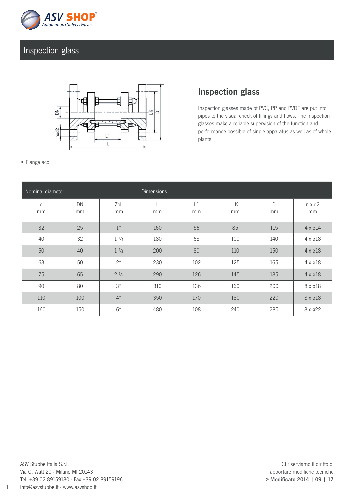

## Inspection glass



## Inspection glass

Inspection glasses made of PVC, PP and PVDF are put into pipes to the visual check of fillings and flows. The Inspection glasses make a reliable supervision of the function and performance possible of single apparatus as well as of whole plants.

• Flange acc.

| Nominal diameter |          |                 | <b>Dimensions</b> |          |          |         |                     |
|------------------|----------|-----------------|-------------------|----------|----------|---------|---------------------|
| $\sf d$<br>mm    | DN<br>mm | Zoll<br>mm      | mm                | L1<br>mm | LK<br>mm | D<br>mm | $n \times d2$<br>mm |
| 32               | 25       | 1 <sup>u</sup>  | 160               | 56       | 85       | 115     | $4 \times 014$      |
| 40               | 32       | $1\frac{1}{4}$  | 180               | 68       | 100      | 140     | $4 \times 218$      |
| 50               | 40       | $1\frac{1}{2}$  | 200               | 80       | 110      | 150     | $4 \times 218$      |
| 63               | 50       | 2 <sup>u</sup>  | 230               | 102      | 125      | 165     | $4 \times 218$      |
| 75               | 65       | $2\frac{1}{2}$  | 290               | 126      | 145      | 185     | $4 \times 218$      |
| 90               | 80       | 3 <sup>ii</sup> | 310               | 136      | 160      | 200     | 8 x ø18             |
| 110              | 100      | 4 <sup>u</sup>  | 350               | 170      | 180      | 220     | 8 x ø18             |
| 160              | 150      | 6 <sup>u</sup>  | 480               | 108      | 240      | 285     | 8 x ø22             |

1